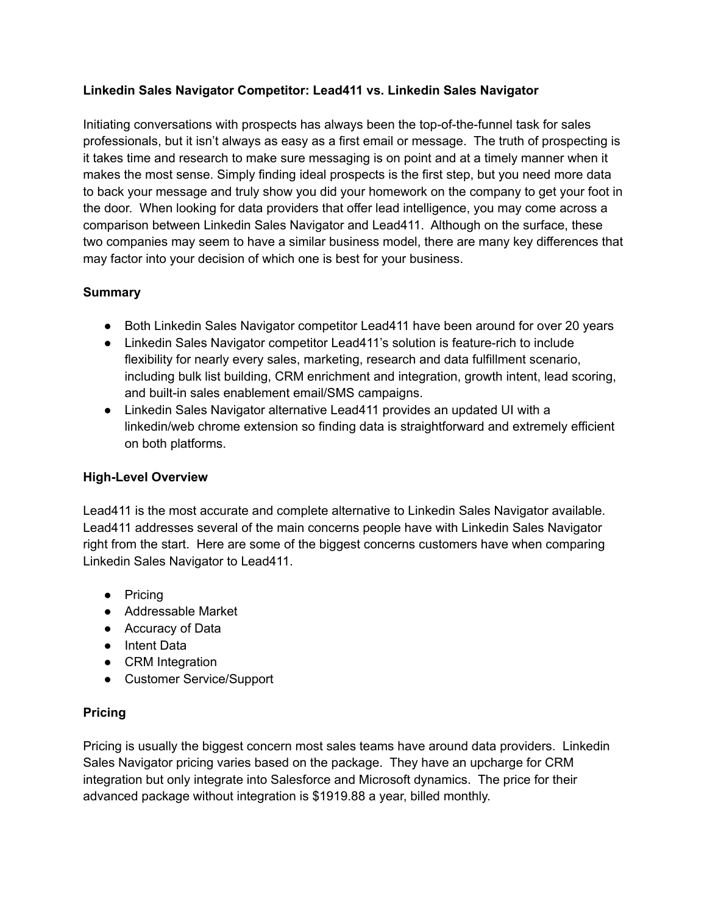# **Linkedin Sales Navigator Competitor: Lead411 vs. Linkedin Sales Navigator**

Initiating conversations with prospects has always been the top-of-the-funnel task for sales professionals, but it isn't always as easy as a first email or message. The truth of prospecting is it takes time and research to make sure messaging is on point and at a timely manner when it makes the most sense. Simply finding ideal prospects is the first step, but you need more data to back your message and truly show you did your homework on the company to get your foot in the door. When looking for data providers that offer lead intelligence, you may come across a comparison between Linkedin Sales Navigator and Lead411. Although on the surface, these two companies may seem to have a similar business model, there are many key differences that may factor into your decision of which one is best for your business.

## **Summary**

- Both Linkedin Sales Navigator competitor Lead411 have been around for over 20 years
- Linkedin Sales Navigator competitor Lead411's solution is feature-rich to include flexibility for nearly every sales, marketing, research and data fulfillment scenario, including bulk list building, CRM enrichment and integration, growth intent, lead scoring, and built-in sales enablement email/SMS campaigns.
- Linkedin Sales Navigator alternative Lead411 provides an updated UI with a linkedin/web chrome extension so finding data is straightforward and extremely efficient on both platforms.

### **High-Level Overview**

Lead411 is the most accurate and complete alternative to Linkedin Sales Navigator available. Lead411 addresses several of the main concerns people have with Linkedin Sales Navigator right from the start. Here are some of the biggest concerns customers have when comparing Linkedin Sales Navigator to Lead411.

- Pricing
- Addressable Market
- Accuracy of Data
- Intent Data
- CRM Integration
- Customer Service/Support

# **Pricing**

Pricing is usually the biggest concern most sales teams have around data providers. Linkedin Sales Navigator pricing varies based on the package. They have an upcharge for CRM integration but only integrate into Salesforce and Microsoft dynamics. The price for their advanced package without integration is \$1919.88 a year, billed monthly.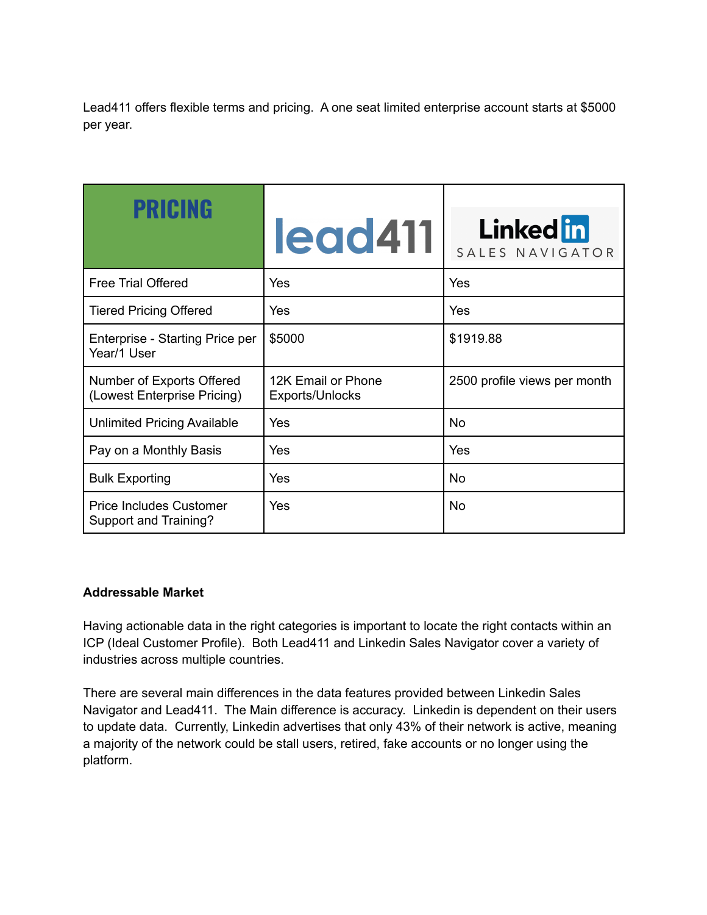Lead411 offers flexible terms and pricing. A one seat limited enterprise account starts at \$5000 per year.

| <b>PRICING</b>                                           | lead411                               | <b>Linked</b> in<br>SALES NAVIGATOR |
|----------------------------------------------------------|---------------------------------------|-------------------------------------|
| <b>Free Trial Offered</b>                                | Yes                                   | Yes                                 |
| <b>Tiered Pricing Offered</b>                            | <b>Yes</b>                            | Yes                                 |
| Enterprise - Starting Price per<br>Year/1 User           | \$5000                                | \$1919.88                           |
| Number of Exports Offered<br>(Lowest Enterprise Pricing) | 12K Email or Phone<br>Exports/Unlocks | 2500 profile views per month        |
| <b>Unlimited Pricing Available</b>                       | Yes                                   | No.                                 |
| Pay on a Monthly Basis                                   | Yes                                   | Yes                                 |
| <b>Bulk Exporting</b>                                    | Yes                                   | No.                                 |
| <b>Price Includes Customer</b><br>Support and Training?  | Yes                                   | No.                                 |

# **Addressable Market**

Having actionable data in the right categories is important to locate the right contacts within an ICP (Ideal Customer Profile). Both Lead411 and Linkedin Sales Navigator cover a variety of industries across multiple countries.

There are several main differences in the data features provided between Linkedin Sales Navigator and Lead411. The Main difference is accuracy. Linkedin is dependent on their users to update data. Currently, Linkedin advertises that only 43% of their network is active, meaning a majority of the network could be stall users, retired, fake accounts or no longer using the platform.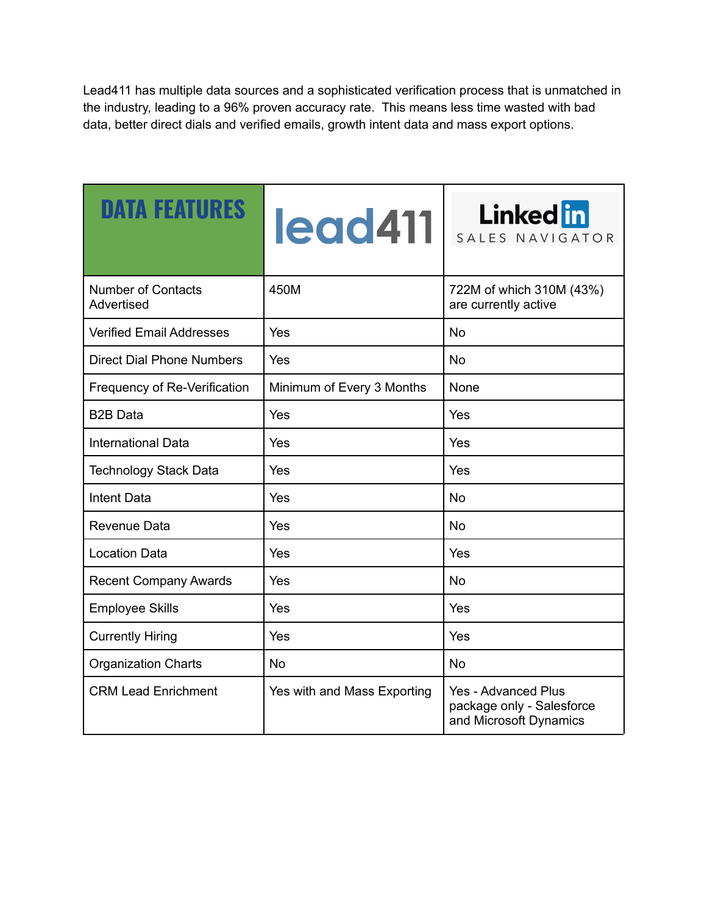Lead411 has multiple data sources and a sophisticated verification process that is unmatched in the industry, leading to a 96% proven accuracy rate. This means less time wasted with bad data, better direct dials and verified emails, growth intent data and mass export options.

| <b>DATA FEATURES</b>                    | <b>legd411</b>              | <b>Linked</b> in<br>SALES NAVIGATOR                                        |
|-----------------------------------------|-----------------------------|----------------------------------------------------------------------------|
| <b>Number of Contacts</b><br>Advertised | 450M                        | 722M of which 310M (43%)<br>are currently active                           |
| <b>Verified Email Addresses</b>         | Yes                         | <b>No</b>                                                                  |
| <b>Direct Dial Phone Numbers</b>        | Yes                         | <b>No</b>                                                                  |
| Frequency of Re-Verification            | Minimum of Every 3 Months   | None                                                                       |
| <b>B2B Data</b>                         | Yes                         | Yes                                                                        |
| <b>International Data</b>               | Yes                         | Yes                                                                        |
| <b>Technology Stack Data</b>            | Yes                         | Yes                                                                        |
| Intent Data                             | Yes                         | <b>No</b>                                                                  |
| Revenue Data                            | Yes                         | <b>No</b>                                                                  |
| <b>Location Data</b>                    | Yes                         | Yes                                                                        |
| <b>Recent Company Awards</b>            | Yes                         | <b>No</b>                                                                  |
| <b>Employee Skills</b>                  | Yes                         | Yes                                                                        |
| <b>Currently Hiring</b>                 | Yes                         | Yes                                                                        |
| <b>Organization Charts</b>              | <b>No</b>                   | <b>No</b>                                                                  |
| <b>CRM Lead Enrichment</b>              | Yes with and Mass Exporting | Yes - Advanced Plus<br>package only - Salesforce<br>and Microsoft Dynamics |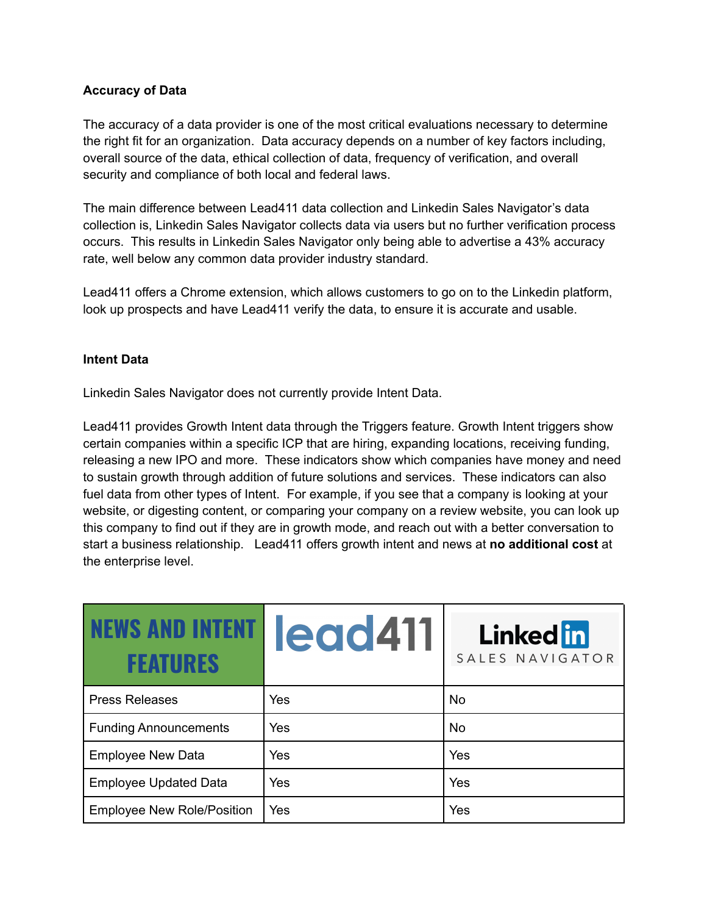## **Accuracy of Data**

The accuracy of a data provider is one of the most critical evaluations necessary to determine the right fit for an organization. Data accuracy depends on a number of key factors including, overall source of the data, ethical collection of data, frequency of verification, and overall security and compliance of both local and federal laws.

The main difference between Lead411 data collection and Linkedin Sales Navigator's data collection is, Linkedin Sales Navigator collects data via users but no further verification process occurs. This results in Linkedin Sales Navigator only being able to advertise a 43% accuracy rate, well below any common data provider industry standard.

Lead411 offers a Chrome extension, which allows customers to go on to the Linkedin platform, look up prospects and have Lead411 verify the data, to ensure it is accurate and usable.

### **Intent Data**

Linkedin Sales Navigator does not currently provide Intent Data.

Lead411 provides Growth Intent data through the Triggers feature. Growth Intent triggers show certain companies within a specific ICP that are hiring, expanding locations, receiving funding, releasing a new IPO and more. These indicators show which companies have money and need to sustain growth through addition of future solutions and services. These indicators can also fuel data from other types of Intent. For example, if you see that a company is looking at your website, or digesting content, or comparing your company on a review website, you can look up this company to find out if they are in growth mode, and reach out with a better conversation to start a business relationship. Lead411 offers growth intent and news at **no additional cost** at the enterprise level.

| <b>INEWS AND INTENT I</b><br><b>FFATIIRFS</b> | legd411 | <b>Linked</b> in<br>SALES NAVIGATOR |
|-----------------------------------------------|---------|-------------------------------------|
| <b>Press Releases</b>                         | Yes     | <b>No</b>                           |
| <b>Funding Announcements</b>                  | Yes     | <b>No</b>                           |
| <b>Employee New Data</b>                      | Yes     | Yes                                 |
| <b>Employee Updated Data</b>                  | Yes     | Yes                                 |
| <b>Employee New Role/Position</b>             | Yes     | Yes                                 |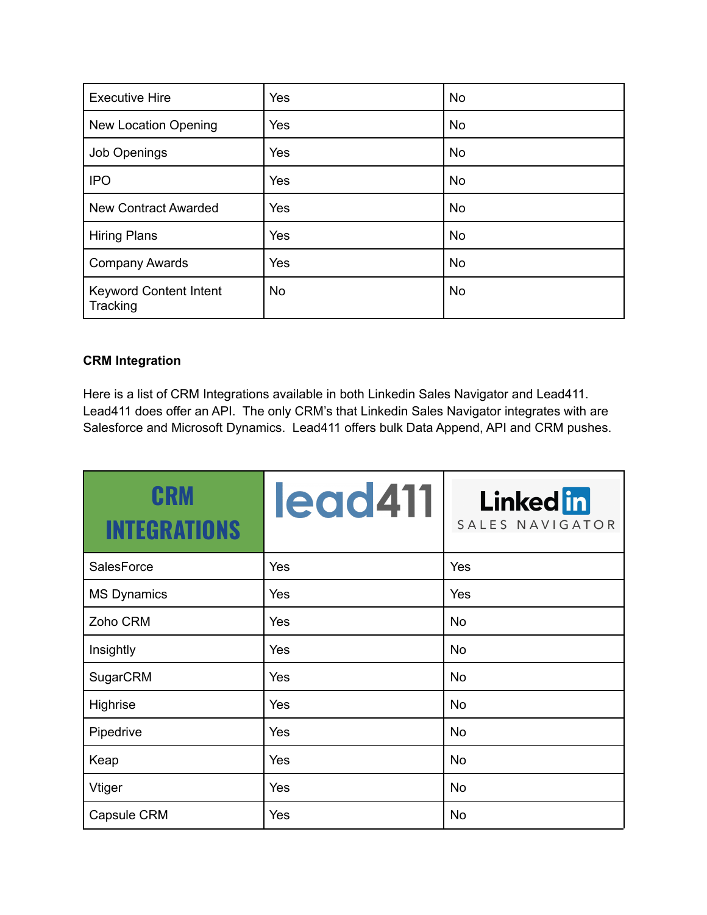| <b>Executive Hire</b>                     | Yes        | <b>No</b> |
|-------------------------------------------|------------|-----------|
| <b>New Location Opening</b>               | Yes        | <b>No</b> |
| <b>Job Openings</b>                       | <b>Yes</b> | <b>No</b> |
| <b>IPO</b>                                | <b>Yes</b> | <b>No</b> |
| <b>New Contract Awarded</b>               | Yes        | <b>No</b> |
| <b>Hiring Plans</b>                       | Yes        | <b>No</b> |
| <b>Company Awards</b>                     | Yes        | <b>No</b> |
| <b>Keyword Content Intent</b><br>Tracking | <b>No</b>  | <b>No</b> |

# **CRM Integration**

Here is a list of CRM Integrations available in both Linkedin Sales Navigator and Lead411. Lead411 does offer an API. The only CRM's that Linkedin Sales Navigator integrates with are Salesforce and Microsoft Dynamics. Lead411 offers bulk Data Append, API and CRM pushes.

| CRM<br><b>INTEGRATIONS</b> | lead411 | <b>Linked</b> in<br>SALES NAVIGATOR |
|----------------------------|---------|-------------------------------------|
| SalesForce                 | Yes     | Yes                                 |
| <b>MS Dynamics</b>         | Yes     | Yes                                 |
| Zoho CRM                   | Yes     | <b>No</b>                           |
| Insightly                  | Yes     | <b>No</b>                           |
| SugarCRM                   | Yes     | <b>No</b>                           |
| Highrise                   | Yes     | <b>No</b>                           |
| Pipedrive                  | Yes     | <b>No</b>                           |
| Keap                       | Yes     | <b>No</b>                           |
| Vtiger                     | Yes     | <b>No</b>                           |
| Capsule CRM                | Yes     | <b>No</b>                           |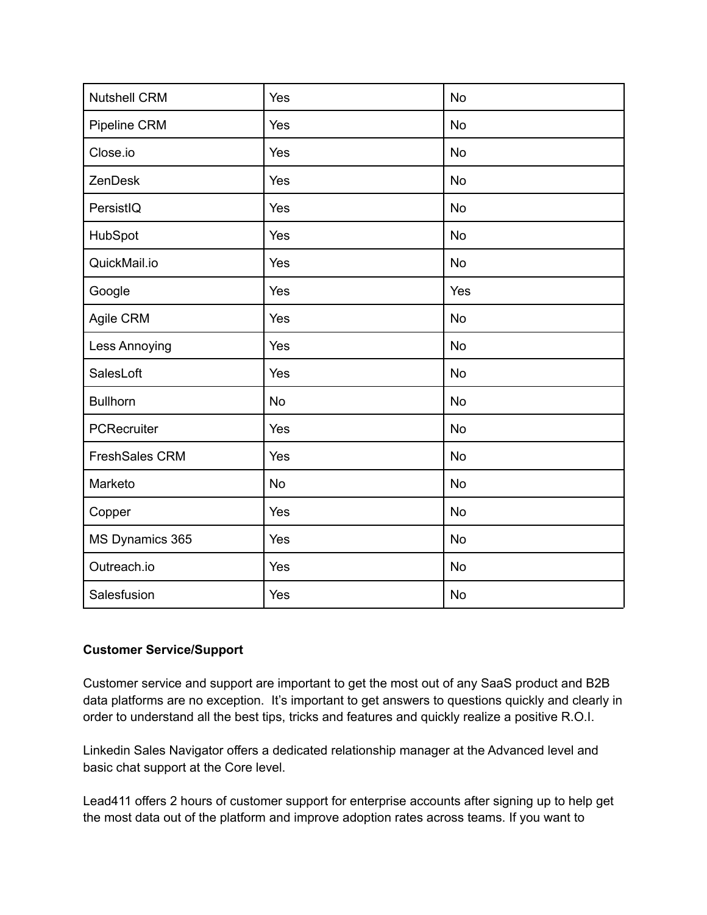| <b>Nutshell CRM</b> | Yes       | <b>No</b> |
|---------------------|-----------|-----------|
| Pipeline CRM        | Yes       | <b>No</b> |
| Close.io            | Yes       | <b>No</b> |
| ZenDesk             | Yes       | <b>No</b> |
| PersistIQ           | Yes       | <b>No</b> |
| HubSpot             | Yes       | <b>No</b> |
| QuickMail.io        | Yes       | No        |
| Google              | Yes       | Yes       |
| Agile CRM           | Yes       | <b>No</b> |
| Less Annoying       | Yes       | <b>No</b> |
| SalesLoft           | Yes       | <b>No</b> |
| <b>Bullhorn</b>     | <b>No</b> | <b>No</b> |
| PCRecruiter         | Yes       | <b>No</b> |
| FreshSales CRM      | Yes       | <b>No</b> |
| Marketo             | <b>No</b> | <b>No</b> |
| Copper              | Yes       | <b>No</b> |
| MS Dynamics 365     | Yes       | <b>No</b> |
| Outreach.io         | Yes       | <b>No</b> |
| Salesfusion         | Yes       | <b>No</b> |

### **Customer Service/Support**

Customer service and support are important to get the most out of any SaaS product and B2B data platforms are no exception. It's important to get answers to questions quickly and clearly in order to understand all the best tips, tricks and features and quickly realize a positive R.O.I.

Linkedin Sales Navigator offers a dedicated relationship manager at the Advanced level and basic chat support at the Core level.

Lead411 offers 2 hours of customer support for enterprise accounts after signing up to help get the most data out of the platform and improve adoption rates across teams. If you want to